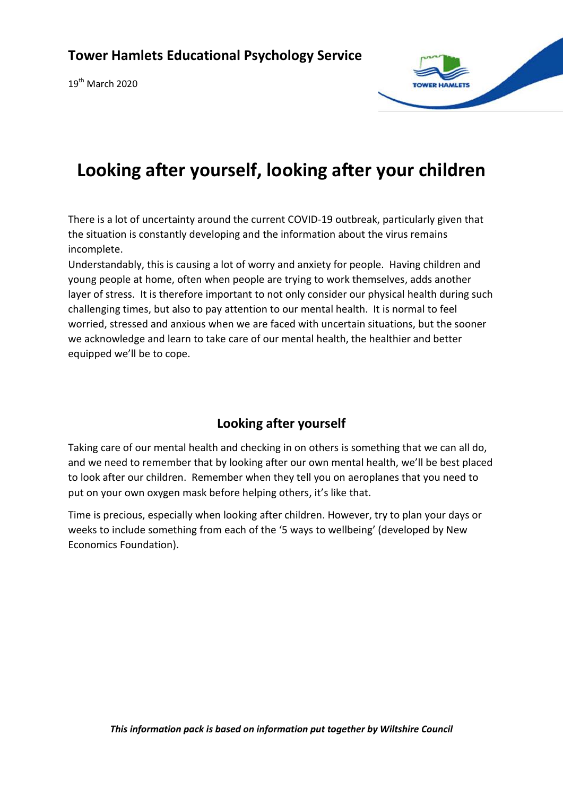$19^{th}$  March 2020



# **Looking after yourself, looking after your children**

There is a lot of uncertainty around the current COVID-19 outbreak, particularly given that the situation is constantly developing and the information about the virus remains incomplete.

Understandably, this is causing a lot of worry and anxiety for people. Having children and young people at home, often when people are trying to work themselves, adds another layer of stress. It is therefore important to not only consider our physical health during such challenging times, but also to pay attention to our mental health. It is normal to feel worried, stressed and anxious when we are faced with uncertain situations, but the sooner we acknowledge and learn to take care of our mental health, the healthier and better equipped we'll be to cope.

### **Looking after yourself**

Taking care of our mental health and checking in on others is something that we can all do, and we need to remember that by looking after our own mental health, we'll be best placed to look after our children. Remember when they tell you on aeroplanes that you need to put on your own oxygen mask before helping others, it's like that.

Time is precious, especially when looking after children. However, try to plan your days or weeks to include something from each of the '5 ways to wellbeing' (developed by New Economics Foundation).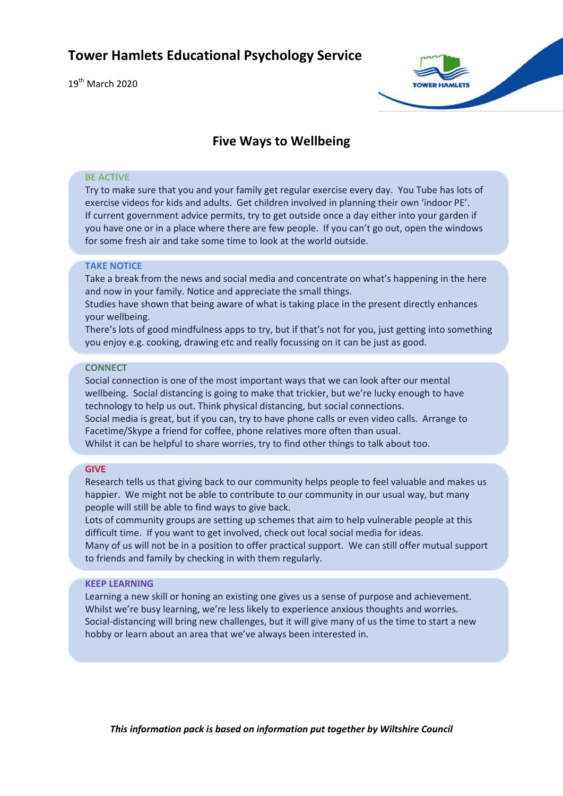$19^{th}$  March 2020



### **Five Ways to Wellbeing**

#### **BE ACTIVE**

Try to make sure that you and your family get regular exercise every day. You Tube has lots of exercise videos for kids and adults. Get children involved in planning their own 'indoor PE'. If current government advice permits, try to get outside once a day either into your garden if you have one or in a place where there are few people. If you can't go out, open the windows for some fresh air and take some time to look at the world outside.

### **TAKE NOTICE**

Take a break from the news and social media and concentrate on what's happening in the here and now in your family. Notice and appreciate the small things.

Studies have shown that being aware of what is taking place in the present directly enhances your wellbeing.

There's lots of good mindfulness apps to try, but if that's not for you, just getting into something you enjoy e.g. cooking, drawing etc and really focussing on it can be just as good.

#### **CONNECT**

Social connection is one of the most important ways that we can look after our mental wellbeing. Social distancing is going to make that trickier, but we're lucky enough to have technology to help us out. Think physical distancing, but social connections. Social media is great, but if you can, try to have phone calls or even video calls. Arrange to Facetime/Skype a friend for coffee, phone relatives more often than usual. Whilst it can be helpful to share worries, try to find other things to talk about too.

#### **GIVE**

Research tells us that giving back to our community helps people to feel valuable and makes us happier. We might not be able to contribute to our community in our usual way, but many people will still be able to find ways to give back.

Lots of community groups are setting up schemes that aim to help vulnerable people at this difficult time. If you want to get involved, check out local social media for ideas.

Many of us will not be in a position to offer practical support. We can still offer mutual support to friends and family by checking in with them regularly.

#### **KEEP LEARNING**

Learning a new skill or honing an existing one gives us a sense of purpose and achievement. Whilst we're busy learning, we're less likely to experience anxious thoughts and worries. Social-distancing will bring new challenges, but it will give many of us the time to start a new hobby or learn about an area that we've always been interested in.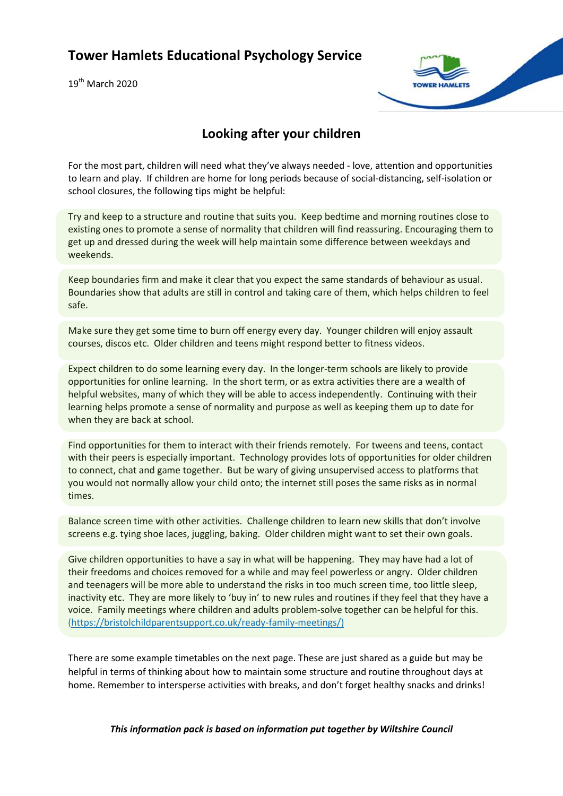$19^{th}$  March 2020



### **Looking after your children**

For the most part, children will need what they've always needed - love, attention and opportunities to learn and play. If children are home for long periods because of social-distancing, self-isolation or school closures, the following tips might be helpful:

Try and keep to a structure and routine that suits you. Keep bedtime and morning routines close to existing ones to promote a sense of normality that children will find reassuring. Encouraging them to get up and dressed during the week will help maintain some difference between weekdays and weekends.

Keep boundaries firm and make it clear that you expect the same standards of behaviour as usual. Boundaries show that adults are still in control and taking care of them, which helps children to feel safe.

Make sure they get some time to burn off energy every day. Younger children will enjoy assault courses, discos etc. Older children and teens might respond better to fitness videos.

Expect children to do some learning every day. In the longer-term schools are likely to provide opportunities for online learning. In the short term, or as extra activities there are a wealth of helpful websites, many of which they will be able to access independently. Continuing with their learning helps promote a sense of normality and purpose as well as keeping them up to date for when they are back at school.

Find opportunities for them to interact with their friends remotely. For tweens and teens, contact with their peers is especially important. Technology provides lots of opportunities for older children to connect, chat and game together. But be wary of giving unsupervised access to platforms that you would not normally allow your child onto; the internet still poses the same risks as in normal times.

Balance screen time with other activities. Challenge children to learn new skills that don't involve screens e.g. tying shoe laces, juggling, baking. Older children might want to set their own goals.

Give children opportunities to have a say in what will be happening. They may have had a lot of their freedoms and choices removed for a while and may feel powerless or angry. Older children and teenagers will be more able to understand the risks in too much screen time, too little sleep, inactivity etc. They are more likely to 'buy in' to new rules and routines if they feel that they have a voice. Family meetings where children and adults problem-solve together can be helpful for this. [\(https://bristolchildparentsupport.co.uk/ready-family-meetings/\)](https://bristolchildparentsupport.co.uk/ready-family-meetings/)

There are some example timetables on the next page. These are just shared as a guide but may be helpful in terms of thinking about how to maintain some structure and routine throughout days at home. Remember to intersperse activities with breaks, and don't forget healthy snacks and drinks!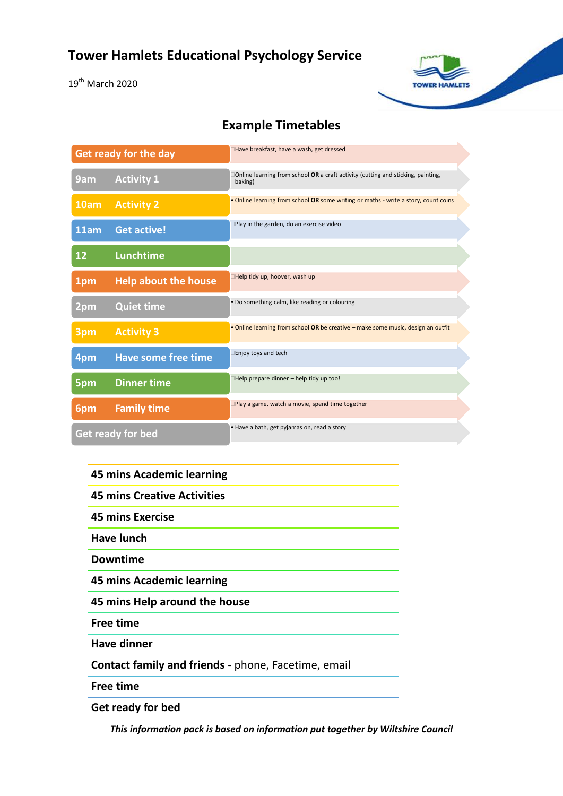19<sup>th</sup> March 2020

### **Example Timetables**

**TOWER HAMLETS** 

| <b>Get ready for the day</b> |                             | Have breakfast, have a wash, get dressed                                                    |
|------------------------------|-----------------------------|---------------------------------------------------------------------------------------------|
| 9am                          | <b>Activity 1</b>           | Online learning from school OR a craft activity (cutting and sticking, painting,<br>baking) |
| 10am                         | <b>Activity 2</b>           | . Online learning from school OR some writing or maths - write a story, count coins         |
| 11am                         | <b>Get active!</b>          | Play in the garden, do an exercise video                                                    |
| 12                           | Lunchtime                   |                                                                                             |
| 1pm                          | <b>Help about the house</b> | Help tidy up, hoover, wash up                                                               |
| 2 <sub>pm</sub>              | <b>Quiet time</b>           | . Do something calm, like reading or colouring                                              |
| 3pm                          | <b>Activity 3</b>           | . Online learning from school OR be creative - make some music, design an outfit            |
| 4pm                          | <b>Have some free time</b>  | □Enjoy toys and tech                                                                        |
| 5pm                          | <b>Dinner time</b>          | □Help prepare dinner – help tidy up too!                                                    |
| 6pm                          | <b>Family time</b>          | Play a game, watch a movie, spend time together                                             |
| <b>Get ready for bed</b>     |                             | · Have a bath, get pyjamas on, read a story                                                 |

### **45 mins Academic learning**

**45 mins Creative Activities**

**45 mins Exercise** 

**Have lunch**

**Downtime** 

**45 mins Academic learning**

**45 mins Help around the house**

**Free time** 

**Have dinner**

**Contact family and friends** - phone, Facetime, email

**Free time**

**Get ready for bed**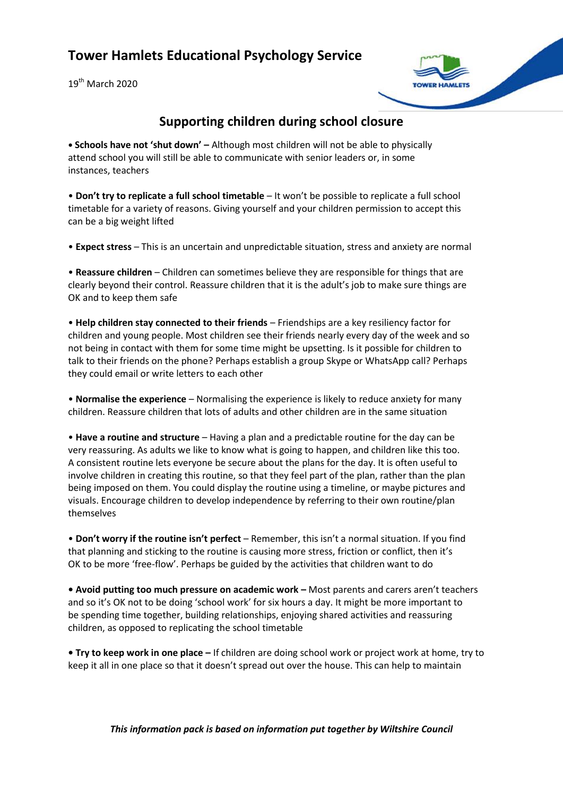$19^{th}$  March 2020



### **Supporting children during school closure**

**• Schools have not 'shut down' –** Although most children will not be able to physically attend school you will still be able to communicate with senior leaders or, in some instances, teachers

• **Don't try to replicate a full school timetable** – It won't be possible to replicate a full school timetable for a variety of reasons. Giving yourself and your children permission to accept this can be a big weight lifted

• **Expect stress** – This is an uncertain and unpredictable situation, stress and anxiety are normal

• **Reassure children** – Children can sometimes believe they are responsible for things that are clearly beyond their control. Reassure children that it is the adult's job to make sure things are OK and to keep them safe

• **Help children stay connected to their friends** – Friendships are a key resiliency factor for children and young people. Most children see their friends nearly every day of the week and so not being in contact with them for some time might be upsetting. Is it possible for children to talk to their friends on the phone? Perhaps establish a group Skype or WhatsApp call? Perhaps they could email or write letters to each other

• **Normalise the experience** – Normalising the experience is likely to reduce anxiety for many children. Reassure children that lots of adults and other children are in the same situation

• **Have a routine and structure** – Having a plan and a predictable routine for the day can be very reassuring. As adults we like to know what is going to happen, and children like this too. A consistent routine lets everyone be secure about the plans for the day. It is often useful to involve children in creating this routine, so that they feel part of the plan, rather than the plan being imposed on them. You could display the routine using a timeline, or maybe pictures and visuals. Encourage children to develop independence by referring to their own routine/plan themselves

• **Don't worry if the routine isn't perfect** – Remember, this isn't a normal situation. If you find that planning and sticking to the routine is causing more stress, friction or conflict, then it's OK to be more 'free-flow'. Perhaps be guided by the activities that children want to do

**• Avoid putting too much pressure on academic work –** Most parents and carers aren't teachers and so it's OK not to be doing 'school work' for six hours a day. It might be more important to be spending time together, building relationships, enjoying shared activities and reassuring children, as opposed to replicating the school timetable

**• Try to keep work in one place –** If children are doing school work or project work at home, try to keep it all in one place so that it doesn't spread out over the house. This can help to maintain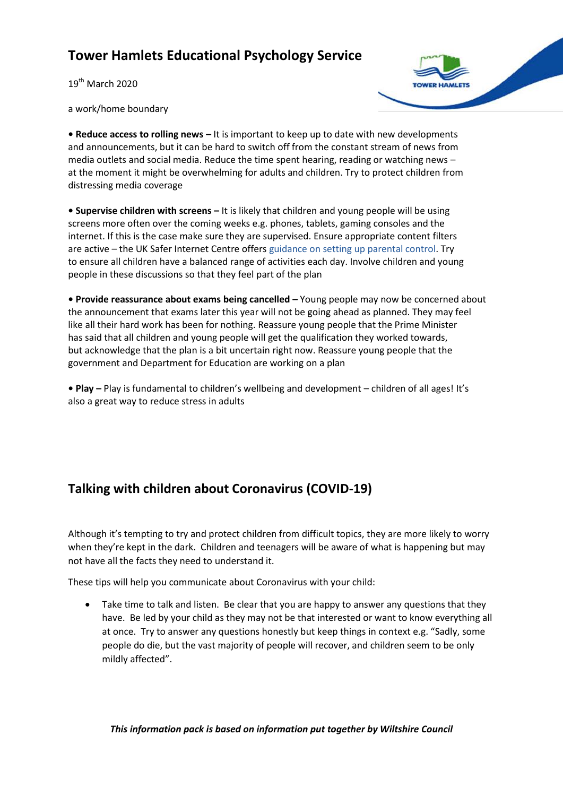$19^{th}$  March 2020



a work/home boundary

**• Reduce access to rolling news –** It is important to keep up to date with new developments and announcements, but it can be hard to switch off from the constant stream of news from media outlets and social media. Reduce the time spent hearing, reading or watching news – at the moment it might be overwhelming for adults and children. Try to protect children from distressing media coverage

**• Supervise children with screens –** It is likely that children and young people will be using screens more often over the coming weeks e.g. phones, tablets, gaming consoles and the internet. If this is the case make sure they are supervised. Ensure appropriate content filters are active – the UK Safer Internet Centre offers guidance on setting up parental control. Try to ensure all children have a balanced range of activities each day. Involve children and young people in these discussions so that they feel part of the plan

**• Provide reassurance about exams being cancelled –** Young people may now be concerned about the announcement that exams later this year will not be going ahead as planned. They may feel like all their hard work has been for nothing. Reassure young people that the Prime Minister has said that all children and young people will get the qualification they worked towards, but acknowledge that the plan is a bit uncertain right now. Reassure young people that the government and Department for Education are working on a plan

**• Play –** Play is fundamental to children's wellbeing and development – children of all ages! It's also a great way to reduce stress in adults

# **Talking with children about Coronavirus (COVID-19)**

Although it's tempting to try and protect children from difficult topics, they are more likely to worry when they're kept in the dark. Children and teenagers will be aware of what is happening but may not have all the facts they need to understand it.

These tips will help you communicate about Coronavirus with your child:

• Take time to talk and listen. Be clear that you are happy to answer any questions that they have. Be led by your child as they may not be that interested or want to know everything all at once. Try to answer any questions honestly but keep things in context e.g. "Sadly, some people do die, but the vast majority of people will recover, and children seem to be only mildly affected".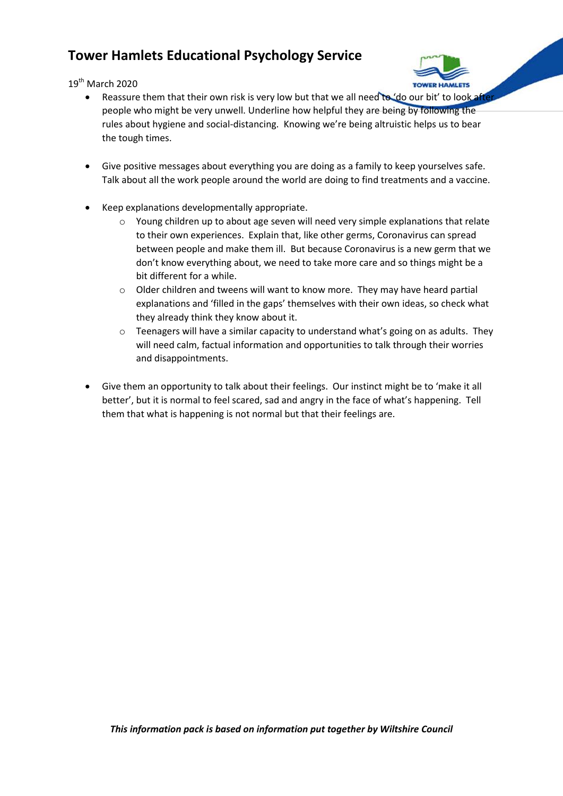$19^{th}$  March 2020



- Reassure them that their own risk is very low but that we all need to 'do our bit' to look after people who might be very unwell. Underline how helpful they are being by following the rules about hygiene and social-distancing. Knowing we're being altruistic helps us to bear the tough times.
- Give positive messages about everything you are doing as a family to keep yourselves safe. Talk about all the work people around the world are doing to find treatments and a vaccine.
- Keep explanations developmentally appropriate.
	- o Young children up to about age seven will need very simple explanations that relate to their own experiences. Explain that, like other germs, Coronavirus can spread between people and make them ill. But because Coronavirus is a new germ that we don't know everything about, we need to take more care and so things might be a bit different for a while.
	- $\circ$  Older children and tweens will want to know more. They may have heard partial explanations and 'filled in the gaps' themselves with their own ideas, so check what they already think they know about it.
	- $\circ$  Teenagers will have a similar capacity to understand what's going on as adults. They will need calm, factual information and opportunities to talk through their worries and disappointments.
- Give them an opportunity to talk about their feelings. Our instinct might be to 'make it all better', but it is normal to feel scared, sad and angry in the face of what's happening. Tell them that what is happening is not normal but that their feelings are.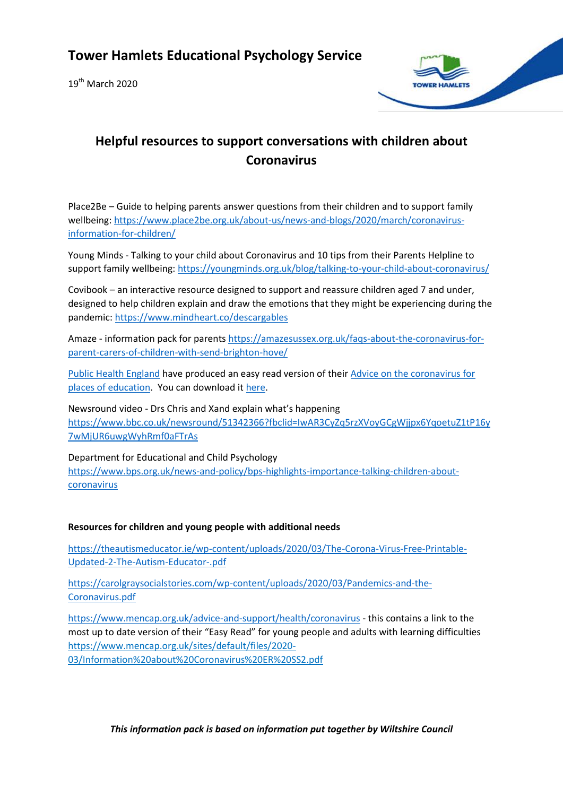$19^{th}$  March 2020



# **Helpful resources to support conversations with children about Coronavirus**

Place2Be – Guide to helping parents answer questions from their children and to support family wellbeing[: https://www.place2be.org.uk/about-us/news-and-blogs/2020/march/coronavirus](http://cdc.mobilize.io/links?lid=yce3IYmmhuE3kIclQH7jbA&token=0p8tqqpZxfoDGwQSx-R0oA&url=https%3A%2F%2Fwww.place2be.org.uk%2Fabout-us%2Fnews-and-blogs%2F2020%2Fmarch%2Fcoronavirus-information-for-children%2F)[information-for-children/](http://cdc.mobilize.io/links?lid=yce3IYmmhuE3kIclQH7jbA&token=0p8tqqpZxfoDGwQSx-R0oA&url=https%3A%2F%2Fwww.place2be.org.uk%2Fabout-us%2Fnews-and-blogs%2F2020%2Fmarch%2Fcoronavirus-information-for-children%2F)

Young Minds - Talking to your child about Coronavirus and 10 tips from their Parents Helpline to support family wellbeing: [https://youngminds.org.uk/blog/talking-to-your-child-about-coronavirus/](http://cdc.mobilize.io/links?lid=yce3IYmmhuE3kIclQH7jbA&token=0p8tqqpZxfoDGwQSx-R0oA&url=https%3A%2F%2Fyoungminds.org.uk%2Fblog%2Ftalking-to-your-child-about-coronavirus%2F)

Covibook – an interactive resource designed to support and reassure children aged 7 and under, designed to help children explain and draw the emotions that they might be experiencing during the pandemic[: https://www.mindheart.co/descargables](http://cdc.mobilize.io/links?lid=yce3IYmmhuE3kIclQH7jbA&token=0p8tqqpZxfoDGwQSx-R0oA&url=https%3A%2F%2Fwww.mindheart.co%2Fdescargables)

Amaze - information pack for parent[s https://amazesussex.org.uk/faqs-about-the-coronavirus-for](http://cdc.mobilize.io/links?lid=yce3IYmmhuE3kIclQH7jbA&token=0p8tqqpZxfoDGwQSx-R0oA&url=https%3A%2F%2Famazesussex.org.uk%2Ffaqs-about-the-coronavirus-for-parent-carers-of-children-with-send-brighton-hove%2F)[parent-carers-of-children-with-send-brighton-hove/](http://cdc.mobilize.io/links?lid=yce3IYmmhuE3kIclQH7jbA&token=0p8tqqpZxfoDGwQSx-R0oA&url=https%3A%2F%2Famazesussex.org.uk%2Ffaqs-about-the-coronavirus-for-parent-carers-of-children-with-send-brighton-hove%2F)

[Public Health England](http://cdc.mobilize.io/links?lid=yce3IYmmhuE3kIclQH7jbA&token=0p8tqqpZxfoDGwQSx-R0oA&url=http%3A%2F%2Fcdc.mobilize.io%2Flinks%3Flid%3DEYERsmtbJI-rRmEtuCZ4Gg%26token%3DOwUjSooIvK8w2JN5Pw80lg%26url%3Dhttps%253A%252F%252Feur02.safelinks.protection.outlook.com%252F%253Furl%253Dhttps%25253A%25252F%25252Feasy-read-online.us15.list-manage.com%25252Ftrack%25252Fclick%25253Fu%25253D6d563f7f763a0cf7e70c9cfe1%252526id%25253D0c04c35bc0%252526e%25253D1a4a54ea5e%2526data%253D02%25257C01%25257CAAllard%252540ncb.org.uk%25257Caf891cc0fed7420ba55608d7ca566849%25257Cadc87355e29c4519954f95e35c776178%25257C0%25257C0%25257C637200344772988297%2526sdata%253D9mh8m8DKfQVNX9GPfAMXq57s5ykCLVm7PE6%25252BPiCAKUc%25253D%2526reserved%253D0) have produced an easy read version of thei[r Advice on the coronavirus for](http://cdc.mobilize.io/links?lid=yce3IYmmhuE3kIclQH7jbA&token=0p8tqqpZxfoDGwQSx-R0oA&url=http%3A%2F%2Fcdc.mobilize.io%2Flinks%3Flid%3DEYERsmtbJI-rRmEtuCZ4Gg%26token%3DOwUjSooIvK8w2JN5Pw80lg%26url%3Dhttps%253A%252F%252Feur02.safelinks.protection.outlook.com%252F%253Furl%253Dhttps%25253A%25252F%25252Feasy-read-online.us15.list-manage.com%25252Ftrack%25252Fclick%25253Fu%25253D6d563f7f763a0cf7e70c9cfe1%252526id%25253D6efa277046%252526e%25253D1a4a54ea5e%2526data%253D02%25257C01%25257CAAllard%252540ncb.org.uk%25257Caf891cc0fed7420ba55608d7ca566849%25257Cadc87355e29c4519954f95e35c776178%25257C0%25257C0%25257C637200344772978298%2526sdata%253DblVpFcNZEHqif7ytPfFwrpGNY2Mmmw4leeRFvWPiT4o%25253D%2526reserved%253D0)  [places of education.](http://cdc.mobilize.io/links?lid=yce3IYmmhuE3kIclQH7jbA&token=0p8tqqpZxfoDGwQSx-R0oA&url=http%3A%2F%2Fcdc.mobilize.io%2Flinks%3Flid%3DEYERsmtbJI-rRmEtuCZ4Gg%26token%3DOwUjSooIvK8w2JN5Pw80lg%26url%3Dhttps%253A%252F%252Feur02.safelinks.protection.outlook.com%252F%253Furl%253Dhttps%25253A%25252F%25252Feasy-read-online.us15.list-manage.com%25252Ftrack%25252Fclick%25253Fu%25253D6d563f7f763a0cf7e70c9cfe1%252526id%25253D6efa277046%252526e%25253D1a4a54ea5e%2526data%253D02%25257C01%25257CAAllard%252540ncb.org.uk%25257Caf891cc0fed7420ba55608d7ca566849%25257Cadc87355e29c4519954f95e35c776178%25257C0%25257C0%25257C637200344772978298%2526sdata%253DblVpFcNZEHqif7ytPfFwrpGNY2Mmmw4leeRFvWPiT4o%25253D%2526reserved%253D0) You can download it [here.](http://cdc.mobilize.io/links?lid=yce3IYmmhuE3kIclQH7jbA&token=0p8tqqpZxfoDGwQSx-R0oA&url=http%3A%2F%2Fcdc.mobilize.io%2Flinks%3Flid%3DEYERsmtbJI-rRmEtuCZ4Gg%26token%3DOwUjSooIvK8w2JN5Pw80lg%26url%3Dhttps%253A%252F%252Feur02.safelinks.protection.outlook.com%252F%253Furl%253Dhttps%25253A%25252F%25252Feasy-read-online.us15.list-manage.com%25252Ftrack%25252Fclick%25253Fu%25253D6d563f7f763a0cf7e70c9cfe1%252526id%25253D1effe5e60d%252526e%25253D1a4a54ea5e%2526data%253D02%25257C01%25257CAAllard%252540ncb.org.uk%25257Caf891cc0fed7420ba55608d7ca566849%25257Cadc87355e29c4519954f95e35c776178%25257C0%25257C0%25257C637200344772998287%2526sdata%253DDH8G1k44HQBwG65sot3pyRMJglcUAc5zawtq4%25252FOgtkM%25253D%2526reserved%253D0)

Newsround video - Drs Chris and Xand explain what's happening [https://www.bbc.co.uk/newsround/51342366?fbclid=IwAR3CyZq5rzXVoyGCgWjjpx6YqoetuZ1tP16y](https://www.bbc.co.uk/newsround/51342366?fbclid=IwAR3CyZq5rzXVoyGCgWjjpx6YqoetuZ1tP16y7wMjUR6uwgWyhRmf0aFTrAs) [7wMjUR6uwgWyhRmf0aFTrAs](https://www.bbc.co.uk/newsround/51342366?fbclid=IwAR3CyZq5rzXVoyGCgWjjpx6YqoetuZ1tP16y7wMjUR6uwgWyhRmf0aFTrAs)

Department for Educational and Child Psychology [https://www.bps.org.uk/news-and-policy/bps-highlights-importance-talking-children-about](https://www.bps.org.uk/news-and-policy/bps-highlights-importance-talking-children-about-coronavirus)[coronavirus](https://www.bps.org.uk/news-and-policy/bps-highlights-importance-talking-children-about-coronavirus)

### **Resources for children and young people with additional needs**

[https://theautismeducator.ie/wp-content/uploads/2020/03/The-Corona-Virus-Free-Printable-](https://theautismeducator.ie/wp-content/uploads/2020/03/The-Corona-Virus-Free-Printable-Updated-2-The-Autism-Educator-.pdf)[Updated-2-The-Autism-Educator-.pdf](https://theautismeducator.ie/wp-content/uploads/2020/03/The-Corona-Virus-Free-Printable-Updated-2-The-Autism-Educator-.pdf)

[https://carolgraysocialstories.com/wp-content/uploads/2020/03/Pandemics-and-the-](https://carolgraysocialstories.com/wp-content/uploads/2020/03/Pandemics-and-the-Coronavirus.pdf)[Coronavirus.pdf](https://carolgraysocialstories.com/wp-content/uploads/2020/03/Pandemics-and-the-Coronavirus.pdf)

<https://www.mencap.org.uk/advice-and-support/health/coronavirus> - this contains a link to the most up to date version of their "Easy Read" for young people and adults with learning difficulties [https://www.mencap.org.uk/sites/default/files/2020-](http://cdc.mobilize.io/links?lid=yce3IYmmhuE3kIclQH7jbA&token=0p8tqqpZxfoDGwQSx-R0oA&url=https%3A%2F%2Fwww.mencap.org.uk%2Fsites%2Fdefault%2Ffiles%2F2020-03%2FInformation%2520about%2520Coronavirus%2520ER%2520SS2.pdf) [03/Information%20about%20Coronavirus%20ER%20SS2.pdf](http://cdc.mobilize.io/links?lid=yce3IYmmhuE3kIclQH7jbA&token=0p8tqqpZxfoDGwQSx-R0oA&url=https%3A%2F%2Fwww.mencap.org.uk%2Fsites%2Fdefault%2Ffiles%2F2020-03%2FInformation%2520about%2520Coronavirus%2520ER%2520SS2.pdf)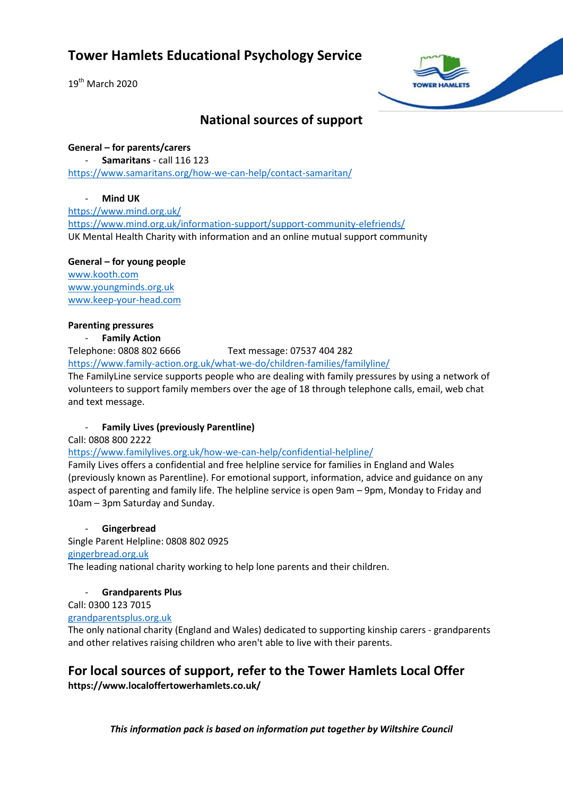$19^{th}$  March 2020



### **National sources of support**

**General – for parents/carers** - **Samaritans** - call 116 123 <https://www.samaritans.org/how-we-can-help/contact-samaritan/>

### - **Mind UK**

<https://www.mind.org.uk/> <https://www.mind.org.uk/information-support/support-community-elefriends/> UK Mental Health Charity with information and an online mutual support community

**General – for young people** [www.kooth.com](http://www.kooth.com/) [www.youngminds.org.uk](http://www.youngminds.org.uk/) [www.keep-your-head.com](http://www.keep-your-head.com/)

### **Parenting pressures**

### **Family Action**

Telephone: 0808 802 6666 Text message: 07537 404 282

<https://www.family-action.org.uk/what-we-do/children-families/familyline/>

The FamilyLine service supports people who are dealing with family pressures by using a network of [volunteers](https://www.family-action.org.uk/get-involved/volunteer/) to support family members over the age of 18 through telephone calls, email, web chat and text message.

### - **Family Lives (previously Parentline)**

Call: 0808 800 2222

<https://www.familylives.org.uk/how-we-can-help/confidential-helpline/>

Family Lives offers a confidential and free helpline service for families in England and Wales (previously known as Parentline). For emotional support, information, advice and guidance on any aspect of parenting and family life. The helpline service is open 9am – 9pm, Monday to Friday and 10am – 3pm Saturday and Sunday.

### - **Gingerbread**

Single Parent Helpline: 0808 802 0925

### [gingerbread.org.uk](http://www.gingerbread.org.uk/)

The leading national charity working to help lone parents and their children.

### - **Grandparents Plus**

Call: 0300 123 7015

### [grandparentsplus.org.uk](http://www.grandparentsplus.org.uk/)

The only national charity (England and Wales) dedicated to supporting kinship carers - grandparents and other relatives raising children who aren't able to live with their parents.

### **For local sources of support, refer to the Tower Hamlets Local Offer**

**https://www.localoffertowerhamlets.co.uk/**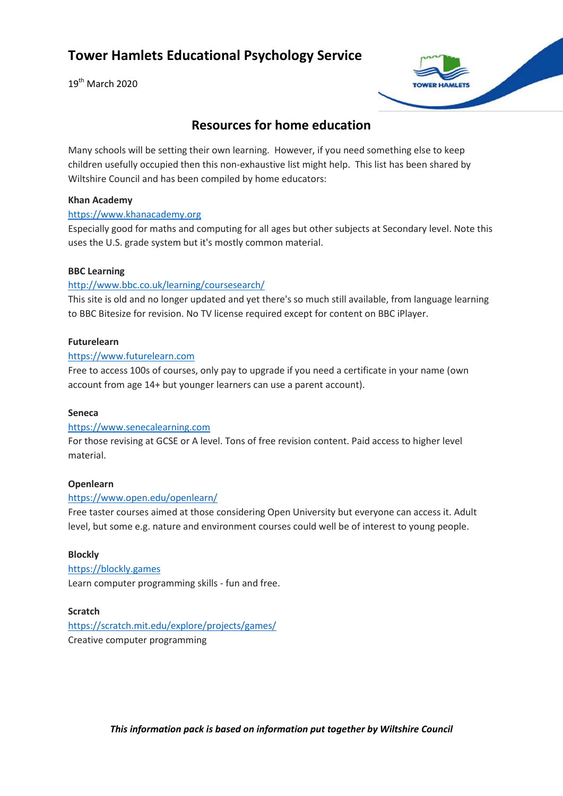19<sup>th</sup> March 2020



### **Resources for home education**

Many schools will be setting their own learning. However, if you need something else to keep children usefully occupied then this non-exhaustive list might help. This list has been shared by Wiltshire Council and has been compiled by home educators:

#### **Khan Academy**

### [https://www.khanacademy.org](https://www.khanacademy.org/)

Especially good for maths and computing for all ages but other subjects at Secondary level. Note this uses the U.S. grade system but it's mostly common material.

### **BBC Learning**

### <http://www.bbc.co.uk/learning/coursesearch/>

This site is old and no longer updated and yet there's so much still available, from language learning to BBC Bitesize for revision. No TV license required except for content on BBC iPlayer.

#### **Futurelearn**

### [https://www.futurelearn.com](https://www.futurelearn.com/)

Free to access 100s of courses, only pay to upgrade if you need a certificate in your name (own account from age 14+ but younger learners can use a parent account).

### **Seneca**

#### [https://www.senecalearning.com](https://www.senecalearning.com/)

For those revising at GCSE or A level. Tons of free revision content. Paid access to higher level material.

#### **Openlearn**

### <https://www.open.edu/openlearn/>

Free taster courses aimed at those considering Open University but everyone can access it. Adult level, but some e.g. nature and environment courses could well be of interest to young people.

#### **Blockly**

[https://blockly.games](https://blockly.games/) Learn computer programming skills - fun and free.

### **Scratch**

<https://scratch.mit.edu/explore/projects/games/>

Creative computer programming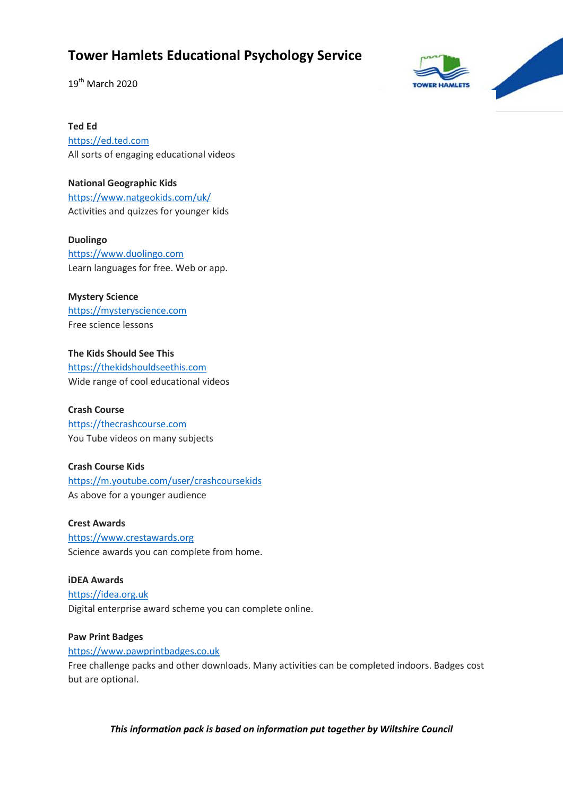19<sup>th</sup> March 2020



**Ted Ed**

[https://ed.ted.com](https://ed.ted.com/) All sorts of engaging educational videos

**National Geographic Kids** <https://www.natgeokids.com/uk/> Activities and quizzes for younger kids

**Duolingo** [https://www.duolingo.com](https://www.duolingo.com/) Learn languages for free. Web or app.

**Mystery Science** [https://mysteryscience.com](https://mysteryscience.com/) Free science lessons

**The Kids Should See This** [https://thekidshouldseethis.com](https://thekidshouldseethis.com/) Wide range of cool educational videos

**Crash Course** [https://thecrashcourse.com](https://thecrashcourse.com/) You Tube videos on many subjects

**Crash Course Kids** <https://m.youtube.com/user/crashcoursekids> As above for a younger audience

**Crest Awards** [https://www.crestawards.org](https://www.crestawards.org/) Science awards you can complete from home.

**iDEA Awards** [https://idea.org.uk](https://idea.org.uk/) Digital enterprise award scheme you can complete online.

**Paw Print Badges** [https://www.pawprintbadges.co.uk](https://www.pawprintbadges.co.uk/)

Free challenge packs and other downloads. Many activities can be completed indoors. Badges cost but are optional.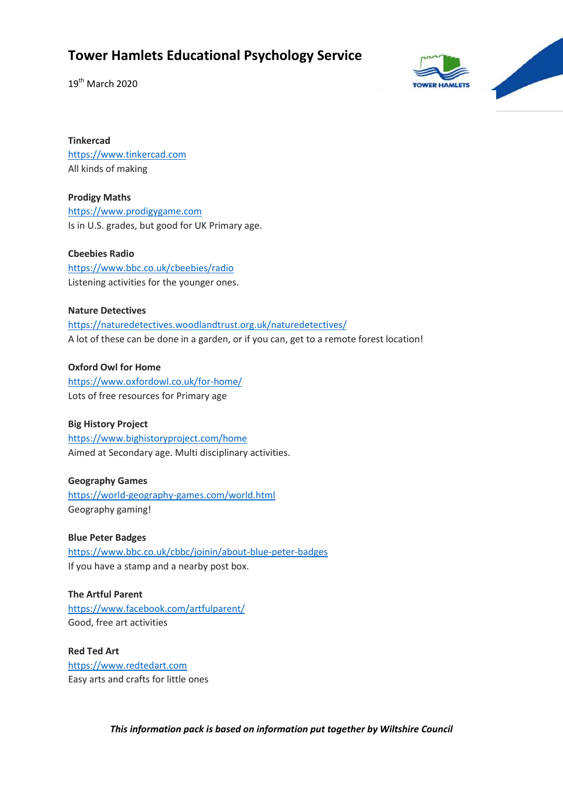19<sup>th</sup> March 2020



**Tinkercad** [https://www.tinkercad.com](https://www.tinkercad.com/) All kinds of making

**Prodigy Maths** [https://www.prodigygame.com](https://www.prodigygame.com/) Is in U.S. grades, but good for UK Primary age.

**Cbeebies Radio** <https://www.bbc.co.uk/cbeebies/radio> Listening activities for the younger ones.

### **Nature Detectives**

<https://naturedetectives.woodlandtrust.org.uk/naturedetectives/> A lot of these can be done in a garden, or if you can, get to a remote forest location!

**Oxford Owl for Home** <https://www.oxfordowl.co.uk/for-home/> Lots of free resources for Primary age

**Big History Project** <https://www.bighistoryproject.com/home> Aimed at Secondary age. Multi disciplinary activities.

**Geography Games** <https://world-geography-games.com/world.html> Geography gaming!

**Blue Peter Badges** <https://www.bbc.co.uk/cbbc/joinin/about-blue-peter-badges> If you have a stamp and a nearby post box.

**The Artful Parent** <https://www.facebook.com/artfulparent/> Good, free art activities

**Red Ted Art** [https://www.redtedart.com](https://www.redtedart.com/) Easy arts and crafts for little ones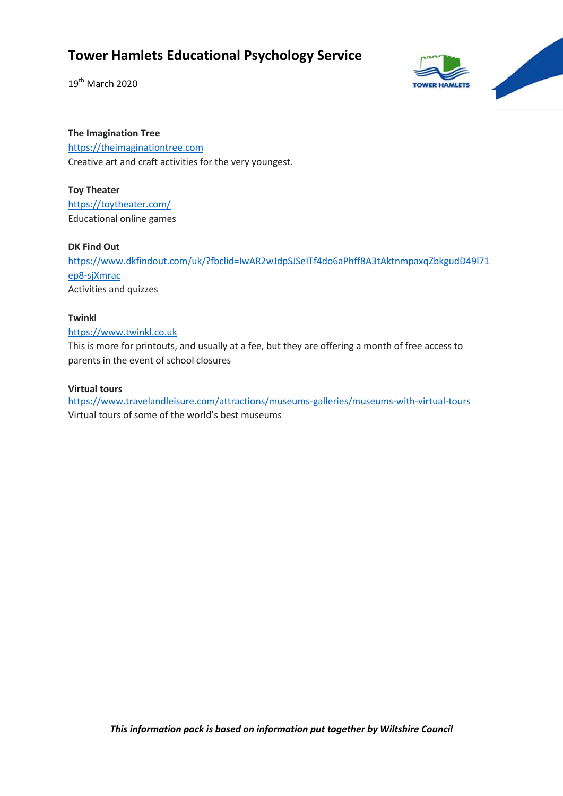19<sup>th</sup> March 2020



### **The Imagination Tree**

[https://theimaginationtree.com](https://theimaginationtree.com/) Creative art and craft activities for the very youngest.

### **Toy Theater**

<https://toytheater.com/> Educational online games

### **DK Find Out**

[https://www.dkfindout.com/uk/?fbclid=IwAR2wJdpSJSeITf4do6aPhff8A3tAktnmpaxqZbkgudD49l71](https://www.dkfindout.com/uk/?fbclid=IwAR2wJdpSJSeITf4do6aPhff8A3tAktnmpaxqZbkgudD49l71ep8-sjXmrac) [ep8-sjXmrac](https://www.dkfindout.com/uk/?fbclid=IwAR2wJdpSJSeITf4do6aPhff8A3tAktnmpaxqZbkgudD49l71ep8-sjXmrac) Activities and quizzes

### **Twinkl**

### [https://www.twinkl.co.uk](https://www.twinkl.co.uk/)

This is more for printouts, and usually at a fee, but they are offering a month of free access to parents in the event of school closures

### **Virtual tours**

<https://www.travelandleisure.com/attractions/museums-galleries/museums-with-virtual-tours> Virtual tours of some of the world's best museums